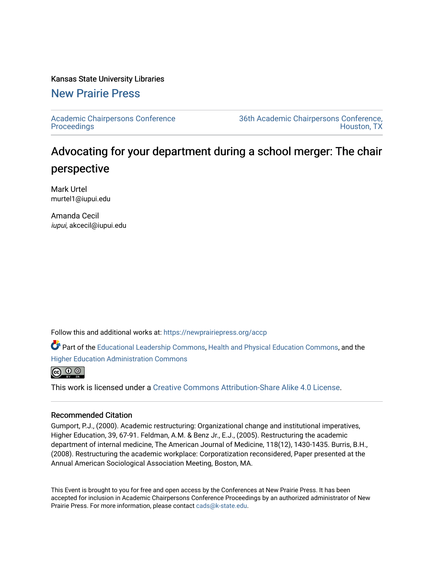## Kansas State University Libraries

## [New Prairie Press](https://newprairiepress.org/)

[Academic Chairpersons Conference](https://newprairiepress.org/accp)  **Proceedings** 

[36th Academic Chairpersons Conference,](https://newprairiepress.org/accp/2019)  [Houston, TX](https://newprairiepress.org/accp/2019) 

## Advocating for your department during a school merger: The chair perspective

Mark Urtel murtel1@iupui.edu

Amanda Cecil iupui, akcecil@iupui.edu

Follow this and additional works at: [https://newprairiepress.org/accp](https://newprairiepress.org/accp?utm_source=newprairiepress.org%2Faccp%2F2019%2Fadvocacy%2F1&utm_medium=PDF&utm_campaign=PDFCoverPages) 

Part of the [Educational Leadership Commons,](http://network.bepress.com/hgg/discipline/1230?utm_source=newprairiepress.org%2Faccp%2F2019%2Fadvocacy%2F1&utm_medium=PDF&utm_campaign=PDFCoverPages) [Health and Physical Education Commons](http://network.bepress.com/hgg/discipline/1327?utm_source=newprairiepress.org%2Faccp%2F2019%2Fadvocacy%2F1&utm_medium=PDF&utm_campaign=PDFCoverPages), and the [Higher Education Administration Commons](http://network.bepress.com/hgg/discipline/791?utm_source=newprairiepress.org%2Faccp%2F2019%2Fadvocacy%2F1&utm_medium=PDF&utm_campaign=PDFCoverPages)



This work is licensed under a [Creative Commons Attribution-Share Alike 4.0 License.](https://creativecommons.org/licenses/by-sa/4.0/)

## Recommended Citation

Gumport, P.J., (2000). Academic restructuring: Organizational change and institutional imperatives, Higher Education, 39, 67-91. Feldman, A.M. & Benz Jr., E.J., (2005). Restructuring the academic department of internal medicine, The American Journal of Medicine, 118(12), 1430-1435. Burris, B.H., (2008). Restructuring the academic workplace: Corporatization reconsidered, Paper presented at the Annual American Sociological Association Meeting, Boston, MA.

This Event is brought to you for free and open access by the Conferences at New Prairie Press. It has been accepted for inclusion in Academic Chairpersons Conference Proceedings by an authorized administrator of New Prairie Press. For more information, please contact [cads@k-state.edu.](mailto:cads@k-state.edu)